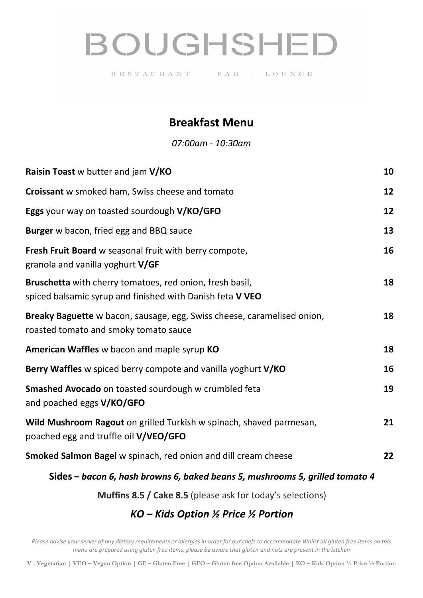# **BOUGHSHED**

RESTAURANT | BAR | LOUNGE

## **Breakfast Menu**

*07:00am - 10:30am*

| Raisin Toast w butter and jam V/KO                                                                                    | 10 |
|-----------------------------------------------------------------------------------------------------------------------|----|
| Croissant w smoked ham, Swiss cheese and tomato                                                                       | 12 |
| Eggs your way on toasted sourdough V/KO/GFO                                                                           | 12 |
| Burger w bacon, fried egg and BBQ sauce                                                                               | 13 |
| Fresh Fruit Board w seasonal fruit with berry compote,<br>granola and vanilla yoghurt V/GF                            | 16 |
| Bruschetta with cherry tomatoes, red onion, fresh basil,<br>spiced balsamic syrup and finished with Danish feta V VEO | 18 |
| Breaky Baguette w bacon, sausage, egg, Swiss cheese, caramelised onion,<br>roasted tomato and smoky tomato sauce      | 18 |
| American Waffles w bacon and maple syrup KO                                                                           | 18 |
| Berry Waffles w spiced berry compote and vanilla yoghurt V/KO                                                         | 16 |
| <b>Smashed Avocado</b> on toasted sourdough w crumbled feta<br>and poached eggs V/KO/GFO                              | 19 |
| Wild Mushroom Ragout on grilled Turkish w spinach, shaved parmesan,<br>poached egg and truffle oil V/VEO/GFO          | 21 |
| Smoked Salmon Bagel w spinach, red onion and dill cream cheese                                                        | 22 |
| Sides - bacon 6, hash browns 6, baked beans 5, mushrooms 5, grilled tomato 4                                          |    |

**Muffins 8.5 / Cake 8.5** (please ask for today's selections)

## *KO – Kids Option ½ Price ½ Portion*

*Please advise your server of any dietary requirements or allergies in order for our chefs to accommodate Whilst all gluten free items on this menu are prepared using gluten free items, please be aware that gluten and nuts are present in the kitchen*

**V - Vegetarian | VEO – Vegan Option | GF – Gluten Free | GFO – Gluten free Option Available | KO – Kids Option ½ Price ½ Portion**